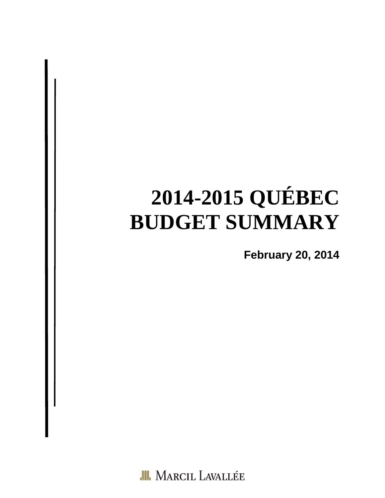# **2014-2015 QUÉBEC BUDGET SUMMARY**

**February 20, 2014** 

**III.** MARCIL LAVALLÉE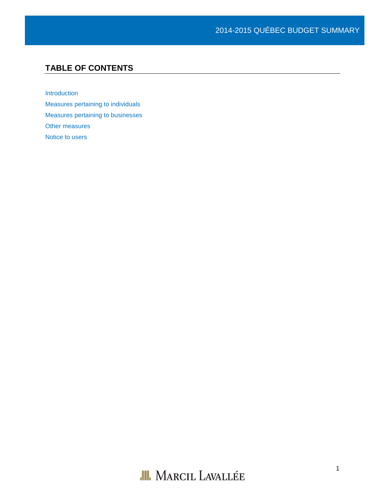# **TABLE OF CONTENTS**

[Introduction](#page-2-0) [Measures pertaining to individuals](#page-3-0) [Measures pertaining to businesses](#page-3-1) [Other measures](#page-5-0) Notice to users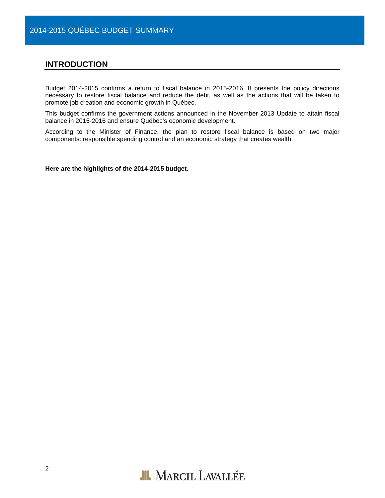## <span id="page-2-0"></span>**INTRODUCTION**

Budget 2014-2015 confirms a return to fiscal balance in 2015-2016. It presents the policy directions necessary to restore fiscal balance and reduce the debt, as well as the actions that will be taken to promote job creation and economic growth in Québec.

This budget confirms the government actions announced in the November 2013 Update to attain fiscal balance in 2015-2016 and ensure Québec's economic development.

According to the Minister of Finance, the plan to restore fiscal balance is based on two major components: responsible spending control and an economic strategy that creates wealth.

**Here are the highlights of the 2014-2015 budget.**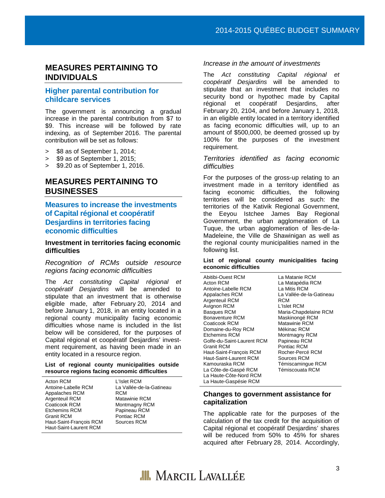# <span id="page-3-0"></span>**MEASURES PERTAINING TO INDIVIDUALS**

# **Higher parental contribution for childcare services**

The government is announcing a gradual increase in the parental contribution from \$7 to \$9. This increase will be followed by rate indexing, as of September 2016. The parental contribution will be set as follows:

- > \$8 as of September 1, 2014;
- > \$9 as of September 1, 2015;
- > \$9.20 as of September 1, 2016.

# <span id="page-3-1"></span>**MEASURES PERTAINING TO BUSINESSES**

### **Measures to increase the investments of Capital régional et coopératif Desjardins in territories facing economic difficulties**

#### **Investment in territories facing economic difficulties**

*Recognition of RCMs outside resource regions facing economic difficulties*

The *Act constituting Capital régional et coopératif Desjardins* will be amended to stipulate that an investment that is otherwise eligible made, after February 20, 2014 and before January 1, 2018, in an entity located in a regional county municipality facing economic difficulties whose name is included in the list below will be considered, for the purposes of Capital régional et coopératif Desjardins' investment requirement, as having been made in an entity located in a resource region.

#### **List of regional county municipalities outside resource regions facing economic difficulties**

| Acton RCM               | L'Islet RCM              |
|-------------------------|--------------------------|
| Antoine-Labelle RCM     | La Vallée-de-la-Gatineau |
| Appalaches RCM          | RCM                      |
| Argenteuil RCM          | <b>Matawinie RCM</b>     |
| Coaticook RCM           | Montmagny RCM            |
| <b>Etchemins RCM</b>    | Papineau RCM             |
| <b>Granit RCM</b>       | Pontiac RCM              |
| Haut-Saint-François RCM | Sources RCM              |
| Haut-Saint-Laurent RCM  |                          |

#### *Increase in the amount of investments*

The *Act constituting Capital régional et coopératif Desjardins* will be amended to stipulate that an investment that includes no security bond or hypothec made by Capital<br>régional et coopératif Desjardins, after régional et coopératif Desjardins, after February 20, 2104, and before January 1, 2018, in an eligible entity located in a territory identified as facing economic difficulties will, up to an amount of \$500,000, be deemed grossed up by 100% for the purposes of the investment requirement.

#### *Territories identified as facing economic difficulties*

For the purposes of the gross-up relating to an investment made in a territory identified as facing economic difficulties, the following territories will be considered as such: the territories of the Kativik Regional Government, the Eeyou Istchee James Bay Regional Government, the urban agglomeration of La Tuque, the urban agglomeration of Îles-de-la-Madeleine, the Ville de Shawinigan as well as the regional county municipalities named in the following list.

#### **List of regional county municipalities facing economic difficulties**

Abitibi-Ouest RCM Acton RCM Antoine-Labelle RCM Appalaches RCM Argenteuil RCM Avignon RCM Basques RCM Bonaventure RCM Coaticook RCM Domaine-du-Roy RCM Etchemins RCM Golfe-du-Saint-Laurent RCM Granit RCM Haut-Saint-François RCM Haut-Saint-Laurent RCM Kamouraska RCM La Côte-de-Gaspé RCM La Haute-Côte-Nord RCM La Haute-Gaspésie RCM

La Matanie RCM La Matapédia RCM La Mitis RCM La Vallée-de-la-Gatineau RCM L'Islet RCM Maria-Chapdelaine RCM Maskinongé RCM Matawinie RCM Mékinac RCM Montmagny RCM Papineau RCM Pontiac RCM Rocher-Percé RCM Sources RCM Témiscamingue RCM Témiscouata RCM

#### **Changes to government assistance for capitalization**

The applicable rate for the purposes of the calculation of the tax credit for the acquisition of Capital régional et coopératif Desjardins' shares will be reduced from 50% to 45% for shares acquired after February 28, 2014. Accordingly,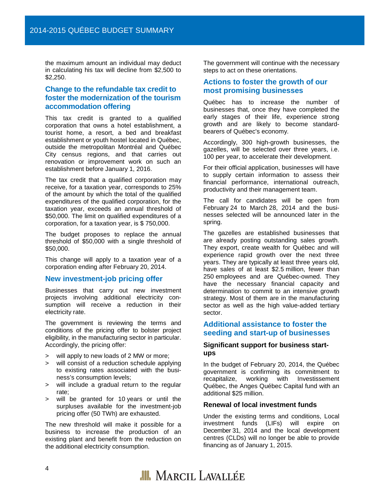the maximum amount an individual may deduct in calculating his tax will decline from \$2,500 to \$2,250.

#### **Change to the refundable tax credit to foster the modernization of the tourism accommodation offering**

This tax credit is granted to a qualified corporation that owns a hotel establishment, a tourist home, a resort, a bed and breakfast establishment or youth hostel located in Québec, outside the metropolitan Montréal and Québec City census regions, and that carries out renovation or improvement work on such an establishment before January 1, 2016.

The tax credit that a qualified corporation may receive, for a taxation year, corresponds to 25% of the amount by which the total of the qualified expenditures of the qualified corporation, for the taxation year, exceeds an annual threshold of \$50,000. The limit on qualified expenditures of a corporation, for a taxation year, is \$ 750,000.

The budget proposes to replace the annual threshold of \$50,000 with a single threshold of \$50,000.

This change will apply to a taxation year of a corporation ending after February 20, 2014.

#### **New investment-job pricing offer**

Businesses that carry out new investment projects involving additional electricity consumption will receive a reduction in their electricity rate.

The government is reviewing the terms and conditions of the pricing offer to bolster project eligibility, in the manufacturing sector in particular. Accordingly, the pricing offer:

- > will apply to new loads of 2 MW or more;
- > will consist of a reduction schedule applying to existing rates associated with the business's consumption levels;
- > will include a gradual return to the regular rate;
- > will be granted for 10 years or until the surpluses available for the investment-job pricing offer (50 TWh) are exhausted.

The new threshold will make it possible for a business to increase the production of an existing plant and benefit from the reduction on the additional electricity consumption.

The government will continue with the necessary steps to act on these orientations.

#### **Actions to foster the growth of our most promising businesses**

Québec has to increase the number of businesses that, once they have completed the early stages of their life, experience strong growth and are likely to become standardbearers of Québec's economy.

Accordingly, 300 high-growth businesses, the gazelles, will be selected over three years, i.e. 100 per year, to accelerate their development.

For their official application, businesses will have to supply certain information to assess their financial performance, international outreach, productivity and their management team.

The call for candidates will be open from February 24 to March 28, 2014 and the businesses selected will be announced later in the spring.

The gazelles are established businesses that are already posting outstanding sales growth. They export, create wealth for Québec and will experience rapid growth over the next three years. They are typically at least three years old, have sales of at least \$2.5 million, fewer than 250 employees and are Québec-owned. They have the necessary financial capacity and determination to commit to an intensive growth strategy. Most of them are in the manufacturing sector as well as the high value-added tertiary sector.

#### **Additional assistance to foster the seeding and start-up of businesses**

#### **Significant support for business startups**

In the budget of February 20, 2014, the Québec government is confirming its commitment to<br>recapitalize, working with Investissement recapitalize, working with Investissement Québec, the Anges Québec Capital fund with an additional \$25 million.

#### **Renewal of local investment funds**

Under the existing terms and conditions, Local investment funds (LIFs) will expire on December 31, 2014 and the local development centres (CLDs) will no longer be able to provide financing as of January 1, 2015.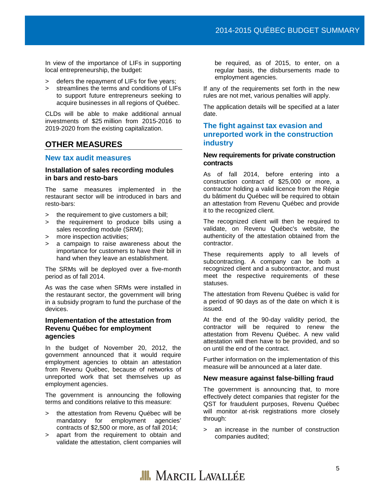In view of the importance of LIFs in supporting local entrepreneurship, the budget:

- > defers the repayment of LIFs for five years;
- > streamlines the terms and conditions of LIFs to support future entrepreneurs seeking to acquire businesses in all regions of Québec.

CLDs will be able to make additional annual investments of \$25 million from 2015-2016 to 2019-2020 from the existing capitalization.

# <span id="page-5-0"></span>**OTHER MEASURES**

#### **New tax audit measures**

#### **Installation of sales recording modules in bars and resto-bars**

The same measures implemented in the restaurant sector will be introduced in bars and resto-bars:

- > the requirement to give customers a bill;
- > the requirement to produce bills using a sales recording module (SRM);
- > more inspection activities;
- > a campaign to raise awareness about the importance for customers to have their bill in hand when they leave an establishment.

The SRMs will be deployed over a five-month period as of fall 2014.

As was the case when SRMs were installed in the restaurant sector, the government will bring in a subsidy program to fund the purchase of the devices.

#### **Implementation of the attestation from Revenu Québec for employment agencies**

In the budget of November 20, 2012, the government announced that it would require employment agencies to obtain an attestation from Revenu Québec, because of networks of unreported work that set themselves up as employment agencies.

The government is announcing the following terms and conditions relative to this measure:

- > the attestation from Revenu Québec will be mandatory for employment agencies' contracts of \$2,500 or more, as of fall 2014;
- > apart from the requirement to obtain and validate the attestation, client companies will

be required, as of 2015, to enter, on a regular basis, the disbursements made to employment agencies.

If any of the requirements set forth in the new rules are not met, various penalties will apply.

The application details will be specified at a later date.

#### **The fight against tax evasion and unreported work in the construction industry**

#### **New requirements for private construction contracts**

As of fall 2014, before entering into a construction contract of \$25,000 or more, a contractor holding a valid licence from the Régie du bâtiment du Québec will be required to obtain an attestation from Revenu Québec and provide it to the recognized client.

The recognized client will then be required to validate, on Revenu Québec's website, the authenticity of the attestation obtained from the contractor.

These requirements apply to all levels of subcontracting. A company can be both a recognized client and a subcontractor, and must meet the respective requirements of these statuses.

The attestation from Revenu Québec is valid for a period of 90 days as of the date on which it is issued.

At the end of the 90-day validity period, the contractor will be required to renew the attestation from Revenu Québec. A new valid attestation will then have to be provided, and so on until the end of the contract.

Further information on the implementation of this measure will be announced at a later date.

#### **New measure against false-billing fraud**

The government is announcing that, to more effectively detect companies that register for the QST for fraudulent purposes, Revenu Québec will monitor at-risk registrations more closely through:

> an increase in the number of construction companies audited;

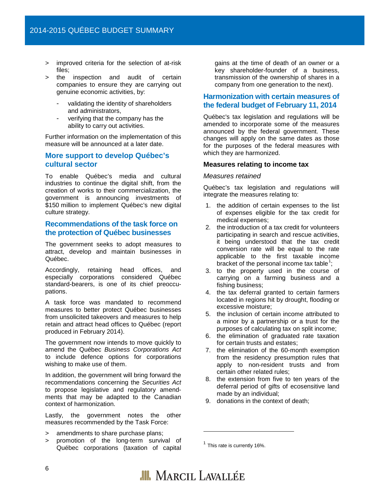- improved criteria for the selection of at-risk files;
- the inspection and audit of certain companies to ensure they are carrying out genuine economic activities, by:
	- validating the identity of shareholders and administrators,
	- verifying that the company has the ability to carry out activities.

Further information on the implementation of this measure will be announced at a later date.

#### **More support to develop Québec's cultural sector**

To enable Québec's media and cultural industries to continue the digital shift, from the creation of works to their commercialization, the government is announcing investments of \$150 million to implement Québec's new digital culture strategy.

#### **Recommendations of the task force on the protection of Québec businesses**

The government seeks to adopt measures to attract, develop and maintain businesses in Québec.

Accordingly, retaining head offices, and especially corporations considered Québec standard-bearers, is one of its chief preoccupations.

A task force was mandated to recommend measures to better protect Québec businesses from unsolicited takeovers and measures to help retain and attract head offices to Québec (report produced in February 2014).

The government now intends to move quickly to amend the Québec *Business Corporations Act*  to include defence options for corporations wishing to make use of them.

In addition, the government will bring forward the recommendations concerning the *Securities Act*  to propose legislative and regulatory amendments that may be adapted to the Canadian context of harmonization.

Lastly, the government notes the other measures recommended by the Task Force:

- > amendments to share purchase plans;
- <span id="page-6-0"></span>> promotion of the long-term survival of Québec corporations (taxation of capital

gains at the time of death of an owner or a key shareholder-founder of a business, transmission of the ownership of shares in a company from one generation to the next).

#### **Harmonization with certain measures of the federal budget of February 11, 2014**

Québec's tax legislation and regulations will be amended to incorporate some of the measures announced by the federal government. These changes will apply on the same dates as those for the purposes of the federal measures with which they are harmonized.

#### **Measures relating to income tax**

#### *Measures retained*

Québec's tax legislation and regulations will integrate the measures relating to:

- 1. the addition of certain expenses to the list of expenses eligible for the tax credit for medical expenses;
- 2. the introduction of a tax credit for volunteers participating in search and rescue activities, it being understood that the tax credit conversion rate will be equal to the rate applicable to the first taxable income bracket of the personal income tax table<sup>[1](#page-6-0)</sup>;
- 3. to the property used in the course of carrying on a farming business and a fishing business;
- 4. the tax deferral granted to certain farmers located in regions hit by drought, flooding or excessive moisture;
- 5. the inclusion of certain income attributed to a minor by a partnership or a trust for the purposes of calculating tax on split income;
- 6. the elimination of graduated rate taxation for certain trusts and estates;
- 7. the elimination of the 60-month exemption from the residency presumption rules that apply to non-resident trusts and from certain other related rules;
- 8. the extension from five to ten years of the deferral period of gifts of ecosensitive land made by an individual;
- 9. donations in the context of death;

 $1$  This rate is currently 16%.



j